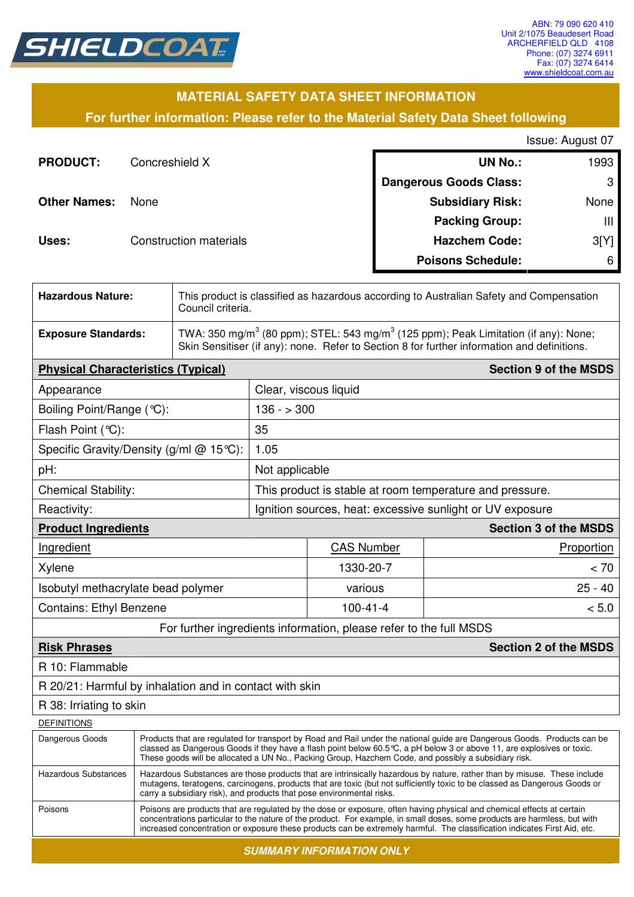

# **MATERIAL SAFETY DATA SHEET INFORMATION**

**For further information: Please refer to the Material Safety Data Sheet following**

| Issue: August 07 |  |  |  |
|------------------|--|--|--|
|------------------|--|--|--|

| <b>PRODUCT:</b>     | Concreshield X                | <b>UN No.:</b>                | 1993 |
|---------------------|-------------------------------|-------------------------------|------|
|                     |                               | <b>Dangerous Goods Class:</b> | 3    |
| <b>Other Names:</b> | None                          | <b>Subsidiary Risk:</b>       | None |
|                     |                               | <b>Packing Group:</b>         | Ш    |
| Uses:               | <b>Construction materials</b> | <b>Hazchem Code:</b>          | 3[Y] |
|                     |                               | <b>Poisons Schedule:</b>      | 6    |

| <b>Hazardous Nature:</b>   | This product is classified as hazardous according to Australian Safety and Compensation<br>Council criteria.                                                                                               |
|----------------------------|------------------------------------------------------------------------------------------------------------------------------------------------------------------------------------------------------------|
| <b>Exposure Standards:</b> | TWA: 350 mg/m <sup>3</sup> (80 ppm); STEL: 543 mg/m <sup>3</sup> (125 ppm); Peak Limitation (if any): None;<br>Skin Sensitiser (if any): none. Refer to Section 8 for further information and definitions. |

| <b>Physical Characteristics (Typical)</b>                          |                                                           |                   | <b>Section 9 of the MSDS</b> |  |
|--------------------------------------------------------------------|-----------------------------------------------------------|-------------------|------------------------------|--|
| Appearance                                                         | Clear, viscous liquid                                     |                   |                              |  |
| Boiling Point/Range (°C):                                          |                                                           | $136 - 300$       |                              |  |
| Flash Point $(°C)$ :                                               | 35                                                        |                   |                              |  |
| Specific Gravity/Density (g/ml $@$ 15°C):                          | 1.05                                                      |                   |                              |  |
| pH:                                                                | Not applicable                                            |                   |                              |  |
| <b>Chemical Stability:</b>                                         | This product is stable at room temperature and pressure.  |                   |                              |  |
| Reactivity:                                                        | Ignition sources, heat: excessive sunlight or UV exposure |                   |                              |  |
| <b>Section 3 of the MSDS</b><br><b>Product Ingredients</b>         |                                                           |                   |                              |  |
| Ingredient                                                         |                                                           | <b>CAS Number</b> | Proportion                   |  |
| Xylene                                                             |                                                           | 1330-20-7         | < 70                         |  |
| Isobutyl methacrylate bead polymer                                 |                                                           | various           | $25 - 40$                    |  |
| <b>Contains: Ethyl Benzene</b>                                     |                                                           | $100 - 41 - 4$    | < 5.0                        |  |
| For further ingredients information, please refer to the full MSDS |                                                           |                   |                              |  |

## **Risk Phrases Section 2 of the MSDS**

R 10: Flammable

R 20/21: Harmful by inhalation and in contact with skin

## R 38: Irriating to skin

**DEFINITIONS** 

| טיוטוויוויום         |                                                                                                                                                                                                                                                                                                                                                                                  |
|----------------------|----------------------------------------------------------------------------------------------------------------------------------------------------------------------------------------------------------------------------------------------------------------------------------------------------------------------------------------------------------------------------------|
| Dangerous Goods      | Products that are regulated for transport by Road and Rail under the national guide are Dangerous Goods. Products can be<br>classed as Dangerous Goods if they have a flash point below 60.5 °C, a pH below 3 or above 11, are explosives or toxic.<br>These goods will be allocated a UN No., Packing Group, Hazchem Code, and possibly a subsidiary risk.                      |
| Hazardous Substances | Hazardous Substances are those products that are intrinsically hazardous by nature, rather than by misuse. These include<br>mutagens, teratogens, carcinogens, products that are toxic (but not sufficiently toxic to be classed as Dangerous Goods or<br>carry a subsidiary risk), and products that pose environmental risks.                                                  |
| Poisons              | Poisons are products that are regulated by the dose or exposure, often having physical and chemical effects at certain<br>concentrations particular to the nature of the product. For example, in small doses, some products are harmless, but with<br>increased concentration or exposure these products can be extremely harmful. The classification indicates First Aid, etc. |
|                      |                                                                                                                                                                                                                                                                                                                                                                                  |

**SUMMARY INFORMATION ONLY**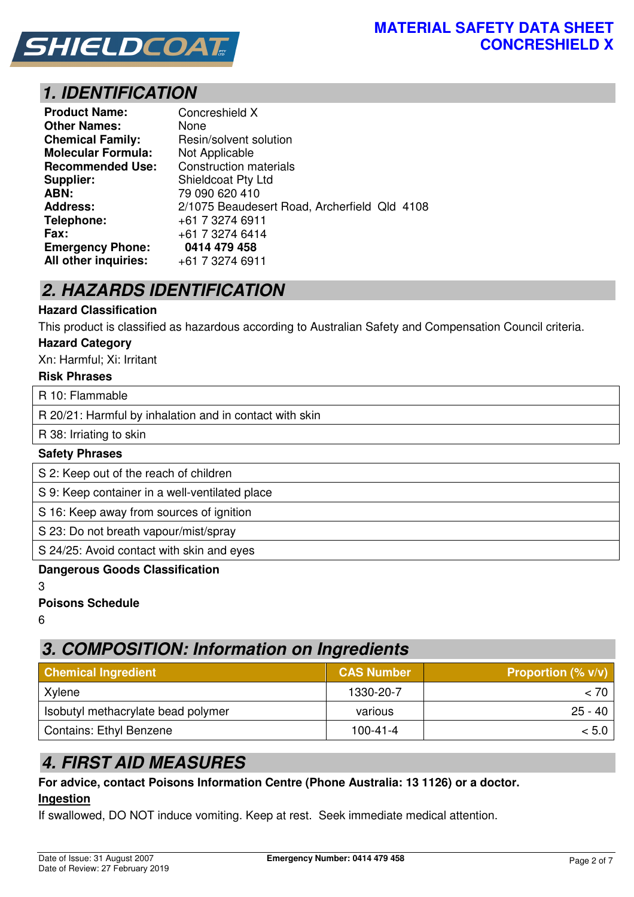

# **1. IDENTIFICATION**

| <b>Product Name:</b>      | Concreshield X                               |
|---------------------------|----------------------------------------------|
| <b>Other Names:</b>       | None                                         |
| <b>Chemical Family:</b>   | Resin/solvent solution                       |
| <b>Molecular Formula:</b> | Not Applicable                               |
| <b>Recommended Use:</b>   | <b>Construction materials</b>                |
| Supplier:                 | Shieldcoat Pty Ltd                           |
| ABN:                      | 79 090 620 410                               |
| <b>Address:</b>           | 2/1075 Beaudesert Road, Archerfield Qld 4108 |
| Telephone:                | +61 7 3274 6911                              |
| Fax:                      | +61 7 3274 6414                              |
| <b>Emergency Phone:</b>   | 0414 479 458                                 |
| All other inquiries:      | +61 7 3274 6911                              |

# **2. HAZARDS IDENTIFICATION**

## **Hazard Classification**

This product is classified as hazardous according to Australian Safety and Compensation Council criteria.

#### **Hazard Category**

Xn: Harmful; Xi: Irritant

#### **Risk Phrases**

R 10: Flammable

R 20/21: Harmful by inhalation and in contact with skin

R 38: Irriating to skin

### **Safety Phrases**

S 2: Keep out of the reach of children

S 9: Keep container in a well-ventilated place

S 16: Keep away from sources of ignition

S 23: Do not breath vapour/mist/spray

S 24/25: Avoid contact with skin and eyes

#### **Dangerous Goods Classification**

3

**Poisons Schedule** 

6

# **3. COMPOSITION: Information on Ingredients**

| <b>Chemical Ingredient</b>         | <b>CAS Number</b> | <b>Proportion (% v/v)</b> |
|------------------------------------|-------------------|---------------------------|
| Xylene                             | 1330-20-7         | < 70∣                     |
| Isobutyl methacrylate bead polymer | various           | $25 - 40$                 |
| <b>Contains: Ethyl Benzene</b>     | $100 - 41 - 4$    | < 5.0                     |

# **4. FIRST AID MEASURES**

#### **For advice, contact Poisons Information Centre (Phone Australia: 13 1126) or a doctor. Ingestion**

If swallowed, DO NOT induce vomiting. Keep at rest. Seek immediate medical attention.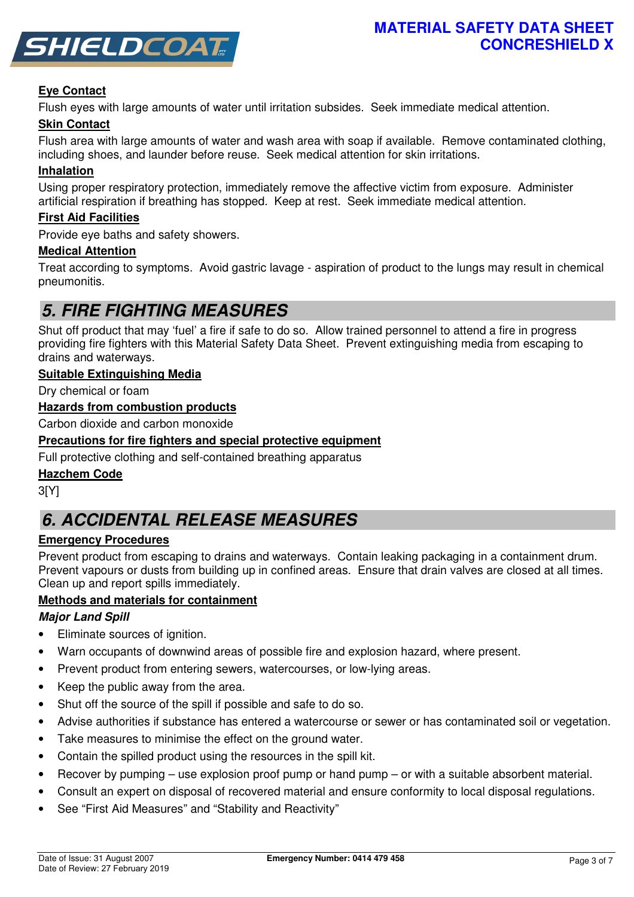

## **Eye Contact**

Flush eyes with large amounts of water until irritation subsides. Seek immediate medical attention.

## **Skin Contact**

Flush area with large amounts of water and wash area with soap if available. Remove contaminated clothing, including shoes, and launder before reuse. Seek medical attention for skin irritations.

## **Inhalation**

Using proper respiratory protection, immediately remove the affective victim from exposure. Administer artificial respiration if breathing has stopped. Keep at rest. Seek immediate medical attention.

#### **First Aid Facilities**

Provide eye baths and safety showers.

#### **Medical Attention**

Treat according to symptoms. Avoid gastric lavage - aspiration of product to the lungs may result in chemical pneumonitis.

# **5. FIRE FIGHTING MEASURES**

Shut off product that may 'fuel' a fire if safe to do so. Allow trained personnel to attend a fire in progress providing fire fighters with this Material Safety Data Sheet. Prevent extinguishing media from escaping to drains and waterways.

#### **Suitable Extinguishing Media**

Dry chemical or foam

## **Hazards from combustion products**

Carbon dioxide and carbon monoxide

#### **Precautions for fire fighters and special protective equipment**

Full protective clothing and self-contained breathing apparatus

#### **Hazchem Code**

3[Y]

# **6. ACCIDENTAL RELEASE MEASURES**

## **Emergency Procedures**

Prevent product from escaping to drains and waterways. Contain leaking packaging in a containment drum. Prevent vapours or dusts from building up in confined areas. Ensure that drain valves are closed at all times. Clean up and report spills immediately.

## **Methods and materials for containment**

## **Major Land Spill**

- Eliminate sources of ignition.
- Warn occupants of downwind areas of possible fire and explosion hazard, where present.
- Prevent product from entering sewers, watercourses, or low-lying areas.
- Keep the public away from the area.
- Shut off the source of the spill if possible and safe to do so.
- Advise authorities if substance has entered a watercourse or sewer or has contaminated soil or vegetation.
- Take measures to minimise the effect on the ground water.
- Contain the spilled product using the resources in the spill kit.
- Recover by pumping use explosion proof pump or hand pump or with a suitable absorbent material.
- Consult an expert on disposal of recovered material and ensure conformity to local disposal regulations.
- See "First Aid Measures" and "Stability and Reactivity"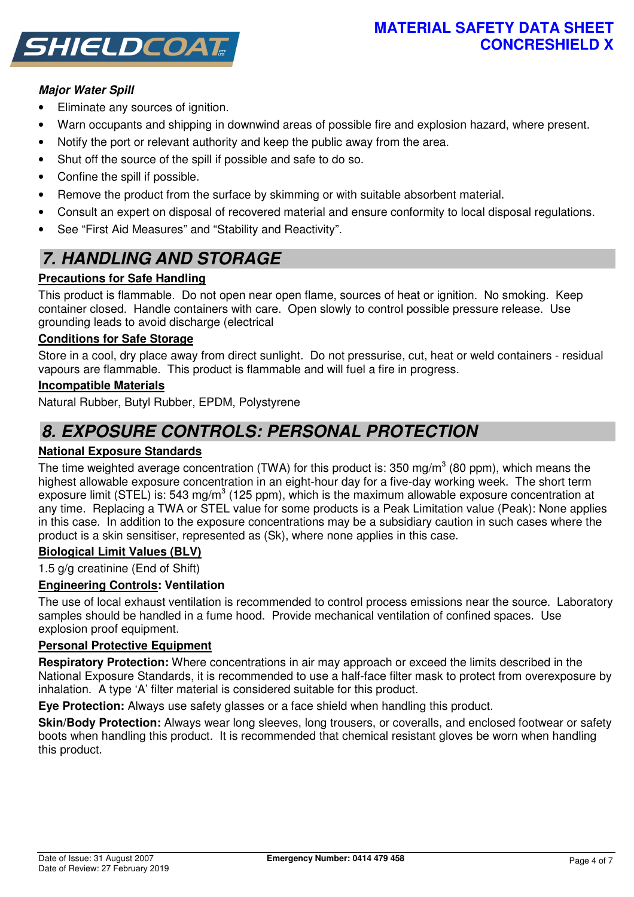# **MATERIAL SAFETY DATA SHEET CONCRESHIELD X**



# **Major Water Spill**

- Eliminate any sources of ignition.
- Warn occupants and shipping in downwind areas of possible fire and explosion hazard, where present.
- Notify the port or relevant authority and keep the public away from the area.
- Shut off the source of the spill if possible and safe to do so.
- Confine the spill if possible.
- Remove the product from the surface by skimming or with suitable absorbent material.
- Consult an expert on disposal of recovered material and ensure conformity to local disposal regulations.
- See "First Aid Measures" and "Stability and Reactivity".

# **7. HANDLING AND STORAGE**

# **Precautions for Safe Handling**

This product is flammable. Do not open near open flame, sources of heat or ignition. No smoking. Keep container closed. Handle containers with care. Open slowly to control possible pressure release. Use grounding leads to avoid discharge (electrical

## **Conditions for Safe Storage**

Store in a cool, dry place away from direct sunlight. Do not pressurise, cut, heat or weld containers - residual vapours are flammable. This product is flammable and will fuel a fire in progress.

#### **Incompatible Materials**

Natural Rubber, Butyl Rubber, EPDM, Polystyrene

# **8. EXPOSURE CONTROLS: PERSONAL PROTECTION**

## **National Exposure Standards**

The time weighted average concentration (TWA) for this product is: 350 mg/m<sup>3</sup> (80 ppm), which means the highest allowable exposure concentration in an eight-hour day for a five-day working week. The short term exposure limit (STEL) is: 543 mg/m<sup>3</sup> (125 ppm), which is the maximum allowable exposure concentration at any time. Replacing a TWA or STEL value for some products is a Peak Limitation value (Peak): None applies in this case. In addition to the exposure concentrations may be a subsidiary caution in such cases where the product is a skin sensitiser, represented as (Sk), where none applies in this case.

## **Biological Limit Values (BLV)**

1.5 g/g creatinine (End of Shift)

## **Engineering Controls: Ventilation**

The use of local exhaust ventilation is recommended to control process emissions near the source. Laboratory samples should be handled in a fume hood. Provide mechanical ventilation of confined spaces. Use explosion proof equipment.

#### **Personal Protective Equipment**

**Respiratory Protection:** Where concentrations in air may approach or exceed the limits described in the National Exposure Standards, it is recommended to use a half-face filter mask to protect from overexposure by inhalation. A type 'A' filter material is considered suitable for this product.

**Eye Protection:** Always use safety glasses or a face shield when handling this product.

**Skin/Body Protection:** Always wear long sleeves, long trousers, or coveralls, and enclosed footwear or safety boots when handling this product. It is recommended that chemical resistant gloves be worn when handling this product.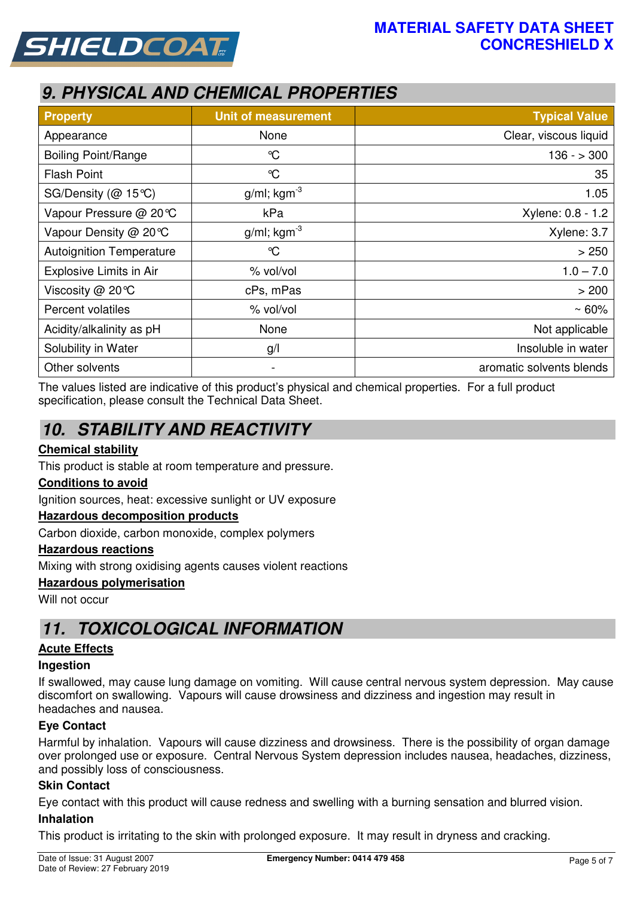



# **9. PHYSICAL AND CHEMICAL PROPERTIES**

| <b>Property</b>                 | <b>Unit of measurement</b> | <b>Typical Value</b>     |
|---------------------------------|----------------------------|--------------------------|
| Appearance                      | None                       | Clear, viscous liquid    |
| <b>Boiling Point/Range</b>      | $\mathrm{C}$               | $136 - 300$              |
| <b>Flash Point</b>              | $\mathrm{C}$               | 35                       |
| SG/Density (@ 15℃)              | $g/ml$ ; kgm <sup>-3</sup> | 1.05                     |
| Vapour Pressure @ 20℃           | kPa                        | Xylene: 0.8 - 1.2        |
| Vapour Density @ 20 °C          | $g/ml$ ; kgm <sup>-3</sup> | Xylene: 3.7              |
| <b>Autoignition Temperature</b> | °C                         | > 250                    |
| Explosive Limits in Air         | % vol/vol                  | $1.0 - 7.0$              |
| Viscosity @ 20°C                | cPs, mPas                  | > 200                    |
| Percent volatiles               | % vol/vol                  | $~50\%$                  |
| Acidity/alkalinity as pH        | None                       | Not applicable           |
| Solubility in Water             | g/                         | Insoluble in water       |
| Other solvents                  | $\blacksquare$             | aromatic solvents blends |

The values listed are indicative of this product's physical and chemical properties. For a full product specification, please consult the Technical Data Sheet.

# **10. STABILITY AND REACTIVITY**

## **Chemical stability**

This product is stable at room temperature and pressure.

#### **Conditions to avoid**

Ignition sources, heat: excessive sunlight or UV exposure

#### **Hazardous decomposition products**

Carbon dioxide, carbon monoxide, complex polymers

#### **Hazardous reactions**

Mixing with strong oxidising agents causes violent reactions

#### **Hazardous polymerisation**

Will not occur

# **11. TOXICOLOGICAL INFORMATION**

#### **Acute Effects**

#### **Ingestion**

If swallowed, may cause lung damage on vomiting. Will cause central nervous system depression. May cause discomfort on swallowing. Vapours will cause drowsiness and dizziness and ingestion may result in headaches and nausea.

#### **Eye Contact**

Harmful by inhalation. Vapours will cause dizziness and drowsiness. There is the possibility of organ damage over prolonged use or exposure. Central Nervous System depression includes nausea, headaches, dizziness, and possibly loss of consciousness.

#### **Skin Contact**

Eye contact with this product will cause redness and swelling with a burning sensation and blurred vision.

#### **Inhalation**

This product is irritating to the skin with prolonged exposure. It may result in dryness and cracking.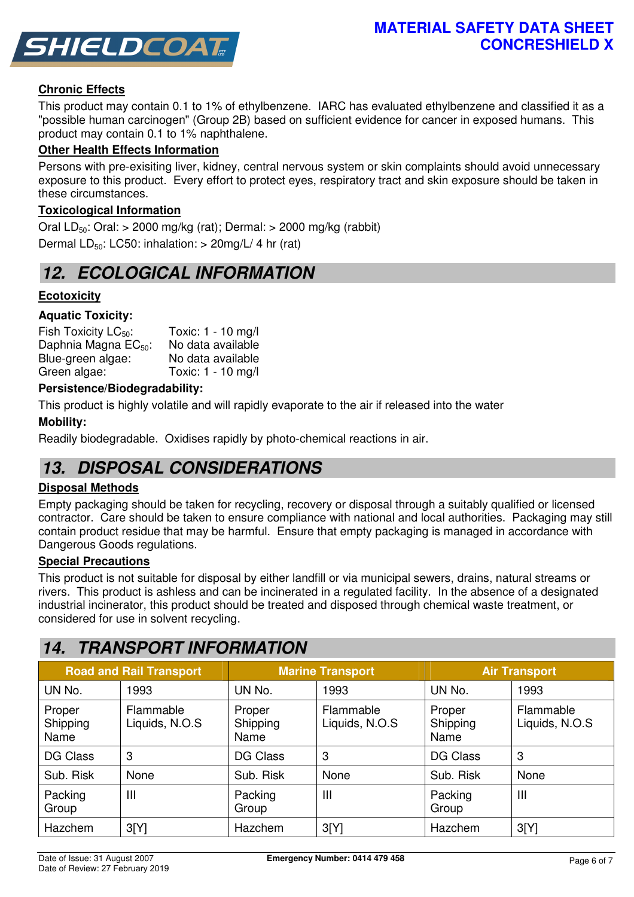

## **Chronic Effects**

This product may contain 0.1 to 1% of ethylbenzene. IARC has evaluated ethylbenzene and classified it as a "possible human carcinogen" (Group 2B) based on sufficient evidence for cancer in exposed humans. This product may contain 0.1 to 1% naphthalene.

#### **Other Health Effects Information**

Persons with pre-exisiting liver, kidney, central nervous system or skin complaints should avoid unnecessary exposure to this product. Every effort to protect eyes, respiratory tract and skin exposure should be taken in these circumstances.

#### **Toxicological Information**

Oral LD<sub>50</sub>: Oral:  $> 2000$  mg/kg (rat); Dermal:  $> 2000$  mg/kg (rabbit) Dermal  $LD_{50}$ : LC50: inhalation:  $>$  20mg/L/ 4 hr (rat)

# **12. ECOLOGICAL INFORMATION**

## **Ecotoxicity**

#### **Aquatic Toxicity:**

Fish Toxicity  $LC_{50}$ : Toxic: 1 - 10 mg/l<br>Daphnia Magna EC<sub>50</sub>: No data available Daphnia Magna  $EC_{50}$ : Blue-green algae: No data available Green algae: Toxic: 1 - 10 mg/l

#### **Persistence/Biodegradability:**

This product is highly volatile and will rapidly evaporate to the air if released into the water

#### **Mobility:**

Readily biodegradable. Oxidises rapidly by photo-chemical reactions in air.

# **13. DISPOSAL CONSIDERATIONS**

#### **Disposal Methods**

Empty packaging should be taken for recycling, recovery or disposal through a suitably qualified or licensed contractor. Care should be taken to ensure compliance with national and local authorities. Packaging may still contain product residue that may be harmful. Ensure that empty packaging is managed in accordance with Dangerous Goods regulations.

#### **Special Precautions**

This product is not suitable for disposal by either landfill or via municipal sewers, drains, natural streams or rivers. This product is ashless and can be incinerated in a regulated facility. In the absence of a designated industrial incinerator, this product should be treated and disposed through chemical waste treatment, or considered for use in solvent recycling.

# **14. TRANSPORT INFORMATION**

|                            | <b>Road and Rail Transport</b> | <b>Marine Transport</b>    |                             | <b>Air Transport</b>       |                             |
|----------------------------|--------------------------------|----------------------------|-----------------------------|----------------------------|-----------------------------|
| UN No.                     | 1993                           | UN No.                     | 1993                        | UN No.                     | 1993                        |
| Proper<br>Shipping<br>Name | Flammable<br>Liquids, N.O.S    | Proper<br>Shipping<br>Name | Flammable<br>Liquids, N.O.S | Proper<br>Shipping<br>Name | Flammable<br>Liquids, N.O.S |
| <b>DG Class</b>            | 3                              | <b>DG Class</b>            | 3                           | DG Class                   | 3                           |
| Sub. Risk                  | None                           | Sub. Risk                  | None                        | Sub. Risk                  | None                        |
| Packing<br>Group           | Ш                              | Packing<br>Group           | Ш                           | Packing<br>Group           | Ш                           |
| Hazchem                    | 3[Y]                           | Hazchem                    | 3[Y]                        | Hazchem                    | 3[Y]                        |